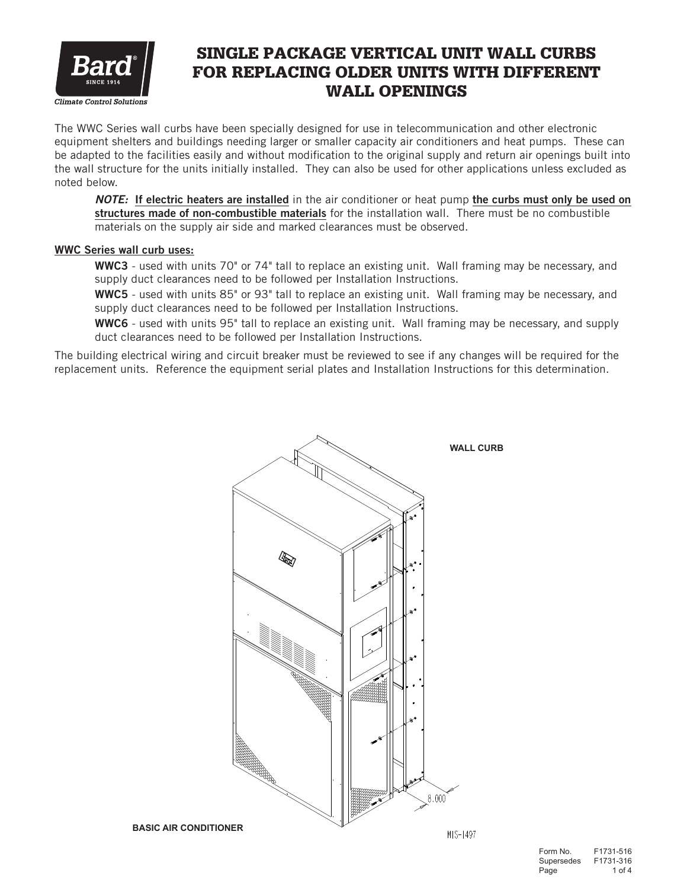

## SINGLE PACKAGE VERTICAL UNIT WALL CURBS FOR REPLACING OLDER UNITS WITH DIFFERENT WALL OPENINGS

The WWC Series wall curbs have been specially designed for use in telecommunication and other electronic equipment shelters and buildings needing larger or smaller capacity air conditioners and heat pumps. These can be adapted to the facilities easily and without modification to the original supply and return air openings built into the wall structure for the units initially installed. They can also be used for other applications unless excluded as noted below.

*NOTE:* If electric heaters are installed in the air conditioner or heat pump the curbs must only be used on structures made of non-combustible materials for the installation wall. There must be no combustible materials on the supply air side and marked clearances must be observed.

## WWC Series wall curb uses:

WWC3 - used with units 70" or 74" tall to replace an existing unit. Wall framing may be necessary, and supply duct clearances need to be followed per Installation Instructions.

WWC5 - used with units 85" or 93" tall to replace an existing unit. Wall framing may be necessary, and supply duct clearances need to be followed per Installation Instructions.

WWC6 - used with units 95" tall to replace an existing unit. Wall framing may be necessary, and supply duct clearances need to be followed per Installation Instructions.

The building electrical wiring and circuit breaker must be reviewed to see if any changes will be required for the replacement units. Reference the equipment serial plates and Installation Instructions for this determination.

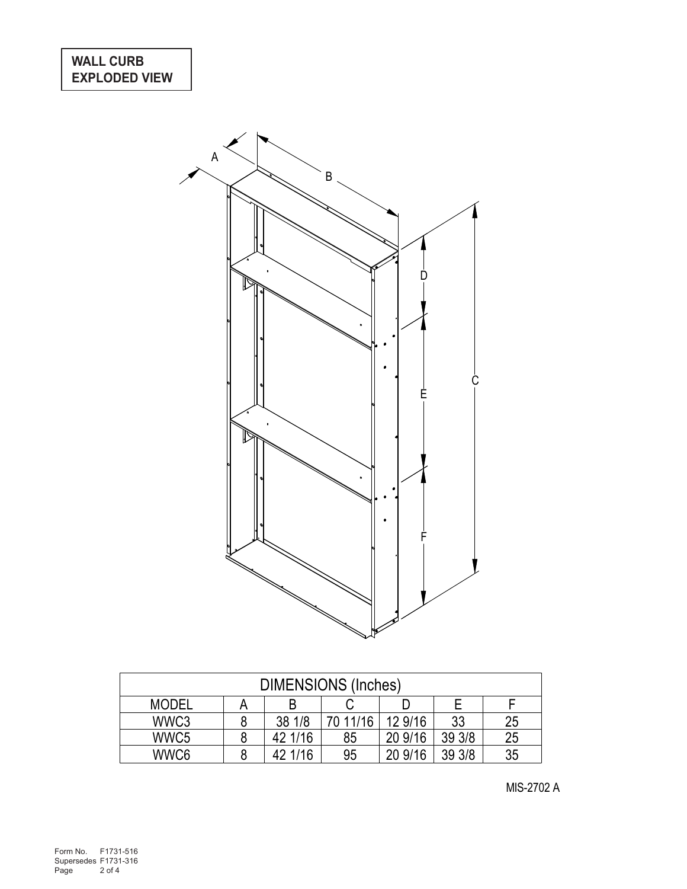

| <b>DIMENSIONS (Inches)</b> |  |         |          |         |        |    |  |  |
|----------------------------|--|---------|----------|---------|--------|----|--|--|
| <b>MODEL</b>               |  | B       |          |         |        |    |  |  |
| WWC3                       |  | 38 1/8  | 70 11/16 | 12 9/16 | 33     | 25 |  |  |
| WWC <sub>5</sub>           |  | 42 1/16 | 85       | 20 9/16 | 39 3/8 | 25 |  |  |
| WWC6                       |  | 42 1/16 | 95       | 20 9/16 | 39 3/8 | 35 |  |  |

MIS-2702 A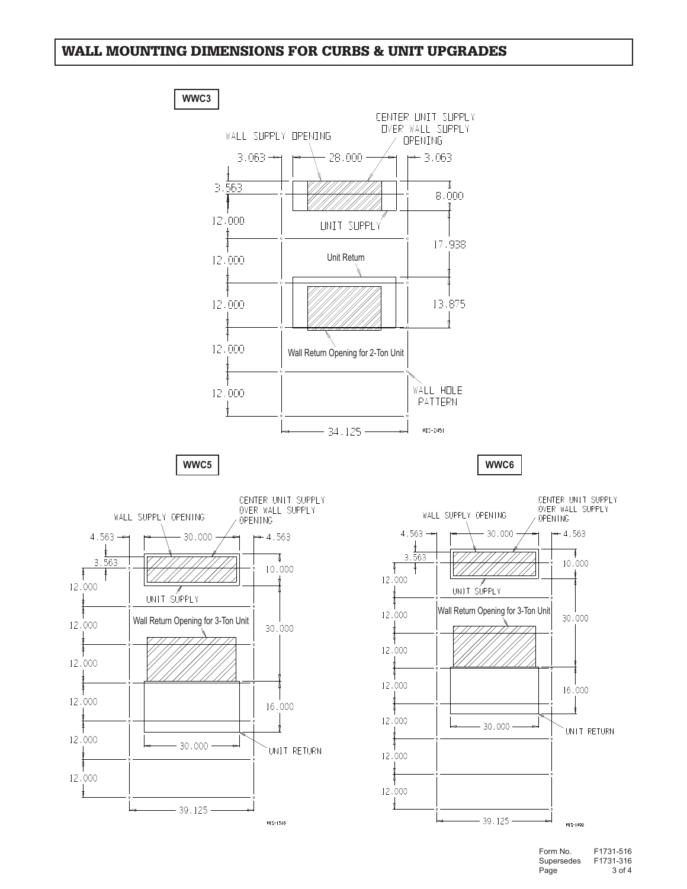## WALL MOUNTING DIMENSIONS FOR CURBS & UNIT UPGRADES